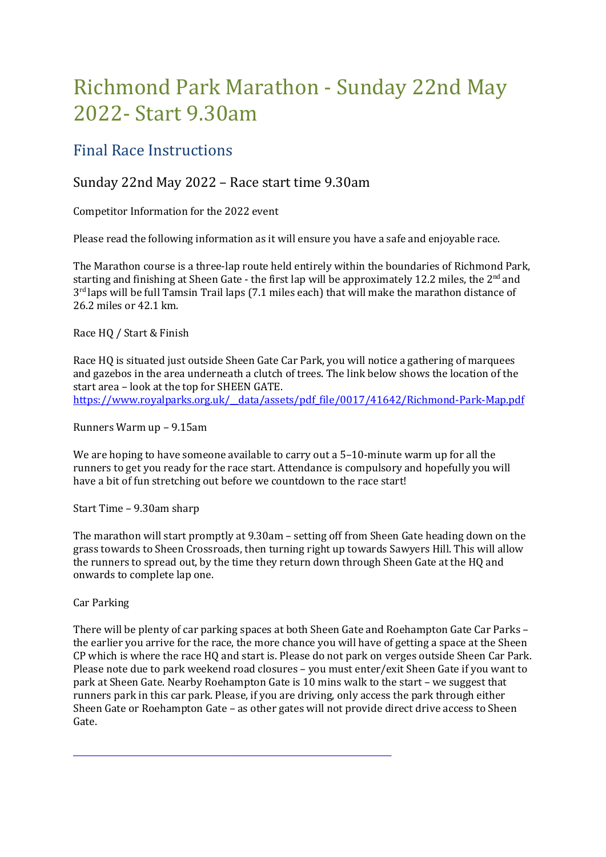# Richmond Park Marathon - Sunday 22nd May 2022- Start 9.30am

## Final Race Instructions

### Sunday 22nd May 2022 – Race start time 9.30am

Competitor Information for the 2022 event

Please read the following information as it will ensure you have a safe and enjoyable race.

The Marathon course is a three-lap route held entirely within the boundaries of Richmond Park, starting and finishing at Sheen Gate - the first lap will be approximately 12.2 miles, the  $2<sup>nd</sup>$  and 3<sup>rd</sup> laps will be full Tamsin Trail laps (7.1 miles each) that will make the marathon distance of 26.2 miles or 42.1 km.

Race HQ / Start & Finish

Race HQ is situated just outside Sheen Gate Car Park, you will notice a gathering of marquees and gazebos in the area underneath a clutch of trees. The link below shows the location of the start area – look at the top for SHEEN GATE. https://www.royalparks.org.uk/\_\_data/assets/pdf\_file/0017/41642/Richmond-Park-Map.pdf

Runners Warm up – 9.15am

We are hoping to have someone available to carry out a 5–10-minute warm up for all the runners to get you ready for the race start. Attendance is compulsory and hopefully you will have a bit of fun stretching out before we countdown to the race start!

Start Time – 9.30am sharp

The marathon will start promptly at 9.30am – setting off from Sheen Gate heading down on the grass towards to Sheen Crossroads, then turning right up towards Sawyers Hill. This will allow the runners to spread out, by the time they return down through Sheen Gate at the HQ and onwards to complete lap one.

Car Parking

There will be plenty of car parking spaces at both Sheen Gate and Roehampton Gate Car Parks – the earlier you arrive for the race, the more chance you will have of getting a space at the Sheen CP which is where the race HQ and start is. Please do not park on verges outside Sheen Car Park. Please note due to park weekend road closures – you must enter/exit Sheen Gate if you want to park at Sheen Gate. Nearby Roehampton Gate is 10 mins walk to the start – we suggest that runners park in this car park. Please, if you are driving, only access the park through either Sheen Gate or Roehampton Gate – as other gates will not provide direct drive access to Sheen Gate.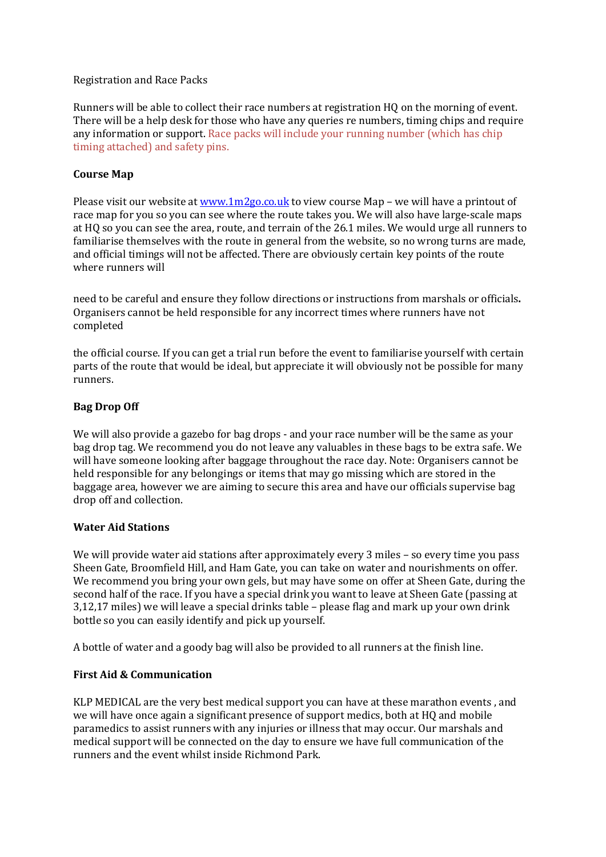#### Registration and Race Packs

Runners will be able to collect their race numbers at registration HQ on the morning of event. There will be a help desk for those who have any queries re numbers, timing chips and require any information or support. Race packs will include your running number (which has chip timing attached) and safety pins.

#### Course Map

Please visit our website at  $[www.1m2go.co.uk](https://www.1m2go.co.uk) to view course Map – we will have a printout of$ race map for you so you can see where the route takes you. We will also have large-scale maps at HQ so you can see the area, route, and terrain of the 26.1 miles. We would urge all runners to familiarise themselves with the route in general from the website, so no wrong turns are made, and official timings will not be affected. There are obviously certain key points of the route where runners will

need to be careful and ensure they follow directions or instructions from marshals or officials. Organisers cannot be held responsible for any incorrect times where runners have not completed

the official course. If you can get a trial run before the event to familiarise yourself with certain parts of the route that would be ideal, but appreciate it will obviously not be possible for many runners.

#### Bag Drop Off

We will also provide a gazebo for bag drops - and your race number will be the same as your bag drop tag. We recommend you do not leave any valuables in these bags to be extra safe. We will have someone looking after baggage throughout the race day. Note: Organisers cannot be held responsible for any belongings or items that may go missing which are stored in the baggage area, however we are aiming to secure this area and have our officials supervise bag drop off and collection.

#### Water Aid Stations

We will provide water aid stations after approximately every 3 miles – so every time you pass Sheen Gate, Broomfield Hill, and Ham Gate, you can take on water and nourishments on offer. We recommend you bring your own gels, but may have some on offer at Sheen Gate, during the second half of the race. If you have a special drink you want to leave at Sheen Gate (passing at 3,12,17 miles) we will leave a special drinks table – please flag and mark up your own drink bottle so you can easily identify and pick up yourself.

A bottle of water and a goody bag will also be provided to all runners at the finish line.

#### First Aid & Communication

KLP MEDICAL are the very best medical support you can have at these marathon events , and we will have once again a significant presence of support medics, both at HQ and mobile paramedics to assist runners with any injuries or illness that may occur. Our marshals and medical support will be connected on the day to ensure we have full communication of the runners and the event whilst inside Richmond Park.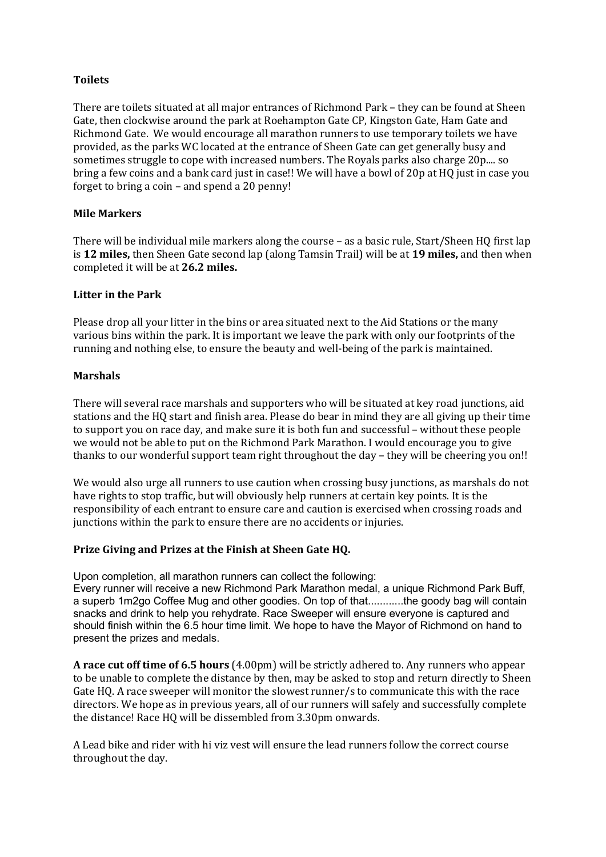#### Toilets

There are toilets situated at all major entrances of Richmond Park – they can be found at Sheen Gate, then clockwise around the park at Roehampton Gate CP, Kingston Gate, Ham Gate and Richmond Gate. We would encourage all marathon runners to use temporary toilets we have provided, as the parks WC located at the entrance of Sheen Gate can get generally busy and sometimes struggle to cope with increased numbers. The Royals parks also charge 20p.... so bring a few coins and a bank card just in case!! We will have a bowl of 20p at HQ just in case you forget to bring a coin – and spend a 20 penny!

#### Mile Markers

There will be individual mile markers along the course – as a basic rule, Start/Sheen HQ first lap is 12 miles, then Sheen Gate second lap (along Tamsin Trail) will be at 19 miles, and then when completed it will be at 26.2 miles.

#### Litter in the Park

Please drop all your litter in the bins or area situated next to the Aid Stations or the many various bins within the park. It is important we leave the park with only our footprints of the running and nothing else, to ensure the beauty and well-being of the park is maintained.

#### Marshals

There will several race marshals and supporters who will be situated at key road junctions, aid stations and the HQ start and finish area. Please do bear in mind they are all giving up their time to support you on race day, and make sure it is both fun and successful – without these people we would not be able to put on the Richmond Park Marathon. I would encourage you to give thanks to our wonderful support team right throughout the day – they will be cheering you on!!

We would also urge all runners to use caution when crossing busy junctions, as marshals do not have rights to stop traffic, but will obviously help runners at certain key points. It is the responsibility of each entrant to ensure care and caution is exercised when crossing roads and junctions within the park to ensure there are no accidents or injuries.

#### Prize Giving and Prizes at the Finish at Sheen Gate HQ.

Upon completion, all marathon runners can collect the following: Every runner will receive a new Richmond Park Marathon medal, a unique Richmond Park Buff, a superb 1m2go Coffee Mug and other goodies. On top of that............the goody bag will contain snacks and drink to help you rehydrate. Race Sweeper will ensure everyone is captured and should finish within the 6.5 hour time limit. We hope to have the Mayor of Richmond on hand to present the prizes and medals.

A race cut off time of 6.5 hours (4.00pm) will be strictly adhered to. Any runners who appear to be unable to complete the distance by then, may be asked to stop and return directly to Sheen Gate HQ. A race sweeper will monitor the slowest runner/s to communicate this with the race directors. We hope as in previous years, all of our runners will safely and successfully complete the distance! Race HQ will be dissembled from 3.30pm onwards.

A Lead bike and rider with hi viz vest will ensure the lead runners follow the correct course throughout the day.